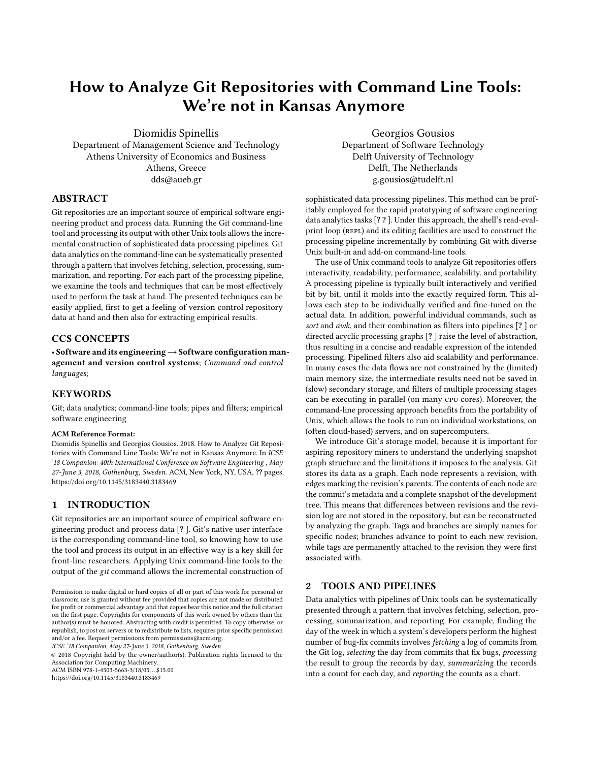# How to Analyze Git Repositories with Command Line Tools: We're not in Kansas Anymore

Diomidis Spinellis Department of Management Science and Technology

Athens University of Economics and Business Athens, Greece dds@aueb.gr

# ABSTRACT

Git repositories are an important source of empirical software engineering product and process data. Running the Git command-line tool and processing its output with other Unix tools allows the incremental construction of sophisticated data processing pipelines. Git data analytics on the command-line can be systematically presented through a pattern that involves fetching, selection, processing, summarization, and reporting. For each part of the processing pipeline, we examine the tools and techniques that can be most effectively used to perform the task at hand. The presented techniques can be easily applied, first to get a feeling of version control repository data at hand and then also for extracting empirical results.

# CCS CONCEPTS

• Software and its engineering→Software configuration management and version control systems; Command and control languages;

## **KEYWORDS**

Git; data analytics; command-line tools; pipes and filters; empirical software engineering

#### ACM Reference Format:

Diomidis Spinellis and Georgios Gousios. 2018. How to Analyze Git Repositories with Command Line Tools: We're not in Kansas Anymore. In ICSE '18 Companion: 40th International Conference on Software Engineering , May 27-June 3, 2018, Gothenburg, Sweden. ACM, New York, NY, USA, ?? pages. <https://doi.org/10.1145/3183440.3183469>

## 1 INTRODUCTION

Git repositories are an important source of empirical software engineering product and process data [? ]. Git's native user interface is the corresponding command-line tool, so knowing how to use the tool and process its output in an effective way is a key skill for front-line researchers. Applying Unix command-line tools to the output of the git command allows the incremental construction of

ICSE '18 Companion, May 27-June 3, 2018, Gothenburg, Sweden

© 2018 Copyright held by the owner/author(s). Publication rights licensed to the Association for Computing Machinery. ACM ISBN 978-1-4503-5663-3/18/05. . . \$15.00

<https://doi.org/10.1145/3183440.3183469>

Georgios Gousios Department of Software Technology Delft University of Technology Delft, The Netherlands g.gousios@tudelft.nl

sophisticated data processing pipelines. This method can be profitably employed for the rapid prototyping of software engineering data analytics tasks [? ? ]. Under this approach, the shell's read-evalprint loop (REPL) and its editing facilities are used to construct the processing pipeline incrementally by combining Git with diverse Unix built-in and add-on command-line tools.

The use of Unix command tools to analyze Git repositories offers interactivity, readability, performance, scalability, and portability. A processing pipeline is typically built interactively and verified bit by bit, until it molds into the exactly required form. This allows each step to be individually verified and fine-tuned on the actual data. In addition, powerful individual commands, such as sort and awk, and their combination as filters into pipelines [? ] or directed acyclic processing graphs [? ] raise the level of abstraction, thus resulting in a concise and readable expression of the intended processing. Pipelined filters also aid scalability and performance. In many cases the data flows are not constrained by the (limited) main memory size, the intermediate results need not be saved in (slow) secondary storage, and filters of multiple processing stages can be executing in parallel (on many cpu cores). Moreover, the command-line processing approach benefits from the portability of Unix, which allows the tools to run on individual workstations, on (often cloud-based) servers, and on supercomputers.

We introduce Git's storage model, because it is important for aspiring repository miners to understand the underlying snapshot graph structure and the limitations it imposes to the analysis. Git stores its data as a graph. Each node represents a revision, with edges marking the revision's parents. The contents of each node are the commit's metadata and a complete snapshot of the development tree. This means that differences between revisions and the revision log are not stored in the repository, but can be reconstructed by analyzing the graph. Tags and branches are simply names for specific nodes; branches advance to point to each new revision, while tags are permanently attached to the revision they were first associated with.

## 2 TOOLS AND PIPELINES

Data analytics with pipelines of Unix tools can be systematically presented through a pattern that involves fetching, selection, processing, summarization, and reporting. For example, finding the day of the week in which a system's developers perform the highest number of bug-fix commits involves fetching a log of commits from the Git log, selecting the day from commits that fix bugs, processing the result to group the records by day, summarizing the records into a count for each day, and reporting the counts as a chart.

Permission to make digital or hard copies of all or part of this work for personal or classroom use is granted without fee provided that copies are not made or distributed for profit or commercial advantage and that copies bear this notice and the full citation on the first page. Copyrights for components of this work owned by others than the author(s) must be honored. Abstracting with credit is permitted. To copy otherwise, or republish, to post on servers or to redistribute to lists, requires prior specific permission and/or a fee. Request permissions from permissions@acm.org.